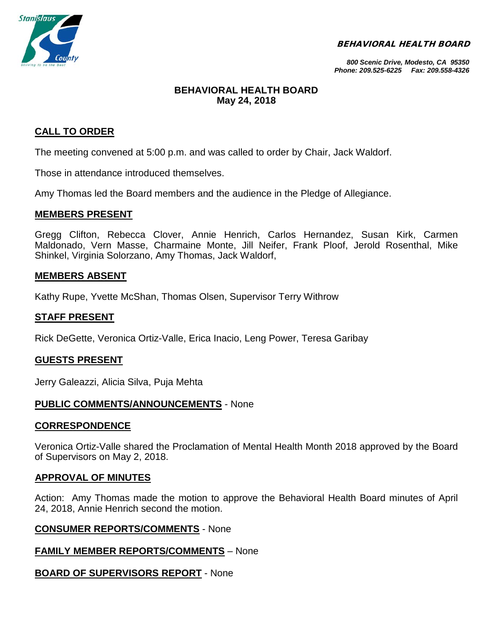BEHAVIORAL HEALTH BOARD



*800 Scenic Drive, Modesto, CA 95350 Phone: 209.525-6225 Fax: 209.558-4326*

# **BEHAVIORAL HEALTH BOARD May 24, 2018**

# **CALL TO ORDER**

The meeting convened at 5:00 p.m. and was called to order by Chair, Jack Waldorf.

Those in attendance introduced themselves.

Amy Thomas led the Board members and the audience in the Pledge of Allegiance.

### **MEMBERS PRESENT**

Gregg Clifton, Rebecca Clover, Annie Henrich, Carlos Hernandez, Susan Kirk, Carmen Maldonado, Vern Masse, Charmaine Monte, Jill Neifer, Frank Ploof, Jerold Rosenthal, Mike Shinkel, Virginia Solorzano, Amy Thomas, Jack Waldorf,

### **MEMBERS ABSENT**

Kathy Rupe, Yvette McShan, Thomas Olsen, Supervisor Terry Withrow

### **STAFF PRESENT**

Rick DeGette, Veronica Ortiz-Valle, Erica Inacio, Leng Power, Teresa Garibay

### **GUESTS PRESENT**

Jerry Galeazzi, Alicia Silva, Puja Mehta

### **PUBLIC COMMENTS/ANNOUNCEMENTS** - None

### **CORRESPONDENCE**

Veronica Ortiz-Valle shared the Proclamation of Mental Health Month 2018 approved by the Board of Supervisors on May 2, 2018.

### **APPROVAL OF MINUTES**

Action: Amy Thomas made the motion to approve the Behavioral Health Board minutes of April 24, 2018, Annie Henrich second the motion.

#### **CONSUMER REPORTS/COMMENTS** - None

### **FAMILY MEMBER REPORTS/COMMENTS** – None

### **BOARD OF SUPERVISORS REPORT** - None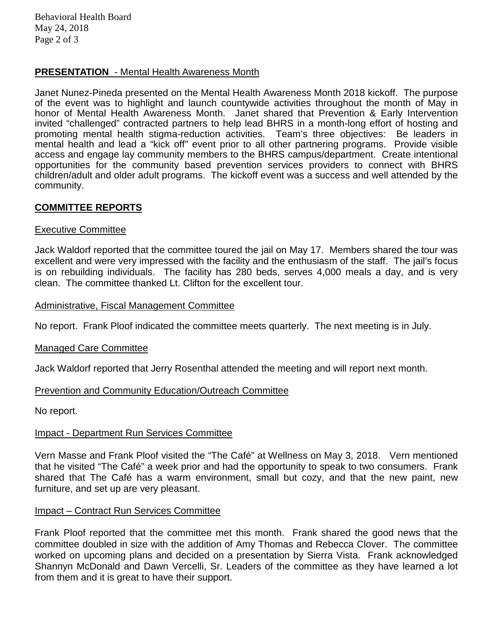Behavioral Health Board May 24, 2018 Page 2 of 3

# **PRESENTATION** - Mental Health Awareness Month

Janet Nunez-Pineda presented on the Mental Health Awareness Month 2018 kickoff. The purpose of the event was to highlight and launch countywide activities throughout the month of May in honor of Mental Health Awareness Month. Janet shared that Prevention & Early Intervention invited "challenged" contracted partners to help lead BHRS in a month-long effort of hosting and promoting mental health stigma-reduction activities. Team's three objectives: Be leaders in mental health and lead a "kick off" event prior to all other partnering programs. Provide visible access and engage lay community members to the BHRS campus/department. Create intentional opportunities for the community based prevention services providers to connect with BHRS children/adult and older adult programs. The kickoff event was a success and well attended by the community.

# **COMMITTEE REPORTS**

### Executive Committee

Jack Waldorf reported that the committee toured the jail on May 17. Members shared the tour was excellent and were very impressed with the facility and the enthusiasm of the staff. The jail's focus is on rebuilding individuals. The facility has 280 beds, serves 4,000 meals a day, and is very clean. The committee thanked Lt. Clifton for the excellent tour.

### Administrative, Fiscal Management Committee

No report. Frank Ploof indicated the committee meets quarterly. The next meeting is in July.

### Managed Care Committee

Jack Waldorf reported that Jerry Rosenthal attended the meeting and will report next month.

### Prevention and Community Education/Outreach Committee

No report.

### Impact - Department Run Services Committee

Vern Masse and Frank Ploof visited the "The Café" at Wellness on May 3, 2018. Vern mentioned that he visited "The Café" a week prior and had the opportunity to speak to two consumers. Frank shared that The Café has a warm environment, small but cozy, and that the new paint, new furniture, and set up are very pleasant.

### Impact – Contract Run Services Committee

Frank Ploof reported that the committee met this month. Frank shared the good news that the committee doubled in size with the addition of Amy Thomas and Rebecca Clover. The committee worked on upcoming plans and decided on a presentation by Sierra Vista. Frank acknowledged Shannyn McDonald and Dawn Vercelli, Sr. Leaders of the committee as they have learned a lot from them and it is great to have their support.